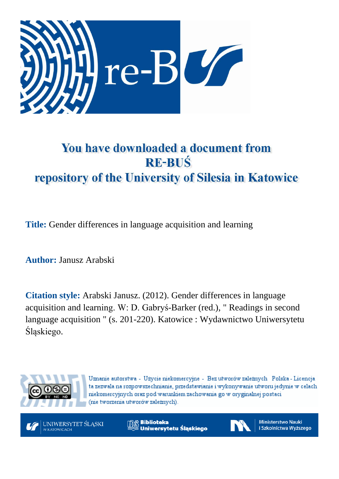

# You have downloaded a document from **RE-BUŚ** repository of the University of Silesia in Katowice

**Title:** Gender differences in language acquisition and learning

**Author:** Janusz Arabski

**Citation style:** Arabski Janusz. (2012). Gender differences in language acquisition and learning. W: D. Gabryś-Barker (red.), " Readings in second language acquisition " (s. 201-220). Katowice : Wydawnictwo Uniwersytetu Śląskiego.



Uznanie autorstwa - Użycie niekomercyjne - Bez utworów zależnych Polska - Licencja ta zezwala na rozpowszechnianie, przedstawianie i wykonywanie utworu jedynie w celach niekomercyjnych oraz pod warunkiem zachowania go w oryginalnej postaci (nie tworzenia utworów zależnych).



**Biblioteka** Uniwersytetu Śląskiego



**Ministerstwo Nauki** i Szkolnictwa Wyższego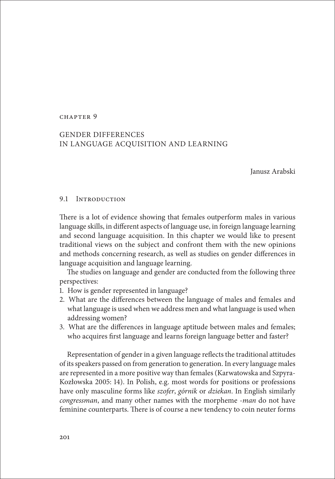#### CHAPTER 9

# Gender differences in language acquisition and learning

Janusz Arabski

#### 9.1 INTRODUCTION

There is a lot of evidence showing that females outperform males in various language skills, in different aspects of language use, in foreign language learning and second language acquisition. In this chapter we would like to present traditional views on the subject and confront them with the new opinions and methods concerning research, as well as studies on gender differences in language acquisition and language learning.

The studies on language and gender are conducted from the following three perspectives:

- 1. How is gender represented in language?
- 2. What are the differences between the language of males and females and what language is used when we address men and what language is used when addressing women?
- 3. What are the differences in language aptitude between males and females; who acquires first language and learns foreign language better and faster?

Representation of gender in a given language reflects the traditional attitudes of its speakers passed on from generation to generation. In every language males are represented in a more positive way than females (Karwatowska and Szpyra-Kozłowska 2005: 14). In Polish, e.g. most words for positions or professions have only masculine forms like *szofer*, *górnik* or *dziekan*. In English similarly *congressman*, and many other names with the morpheme -*man* do not have feminine counterparts. There is of course a new tendency to coin neuter forms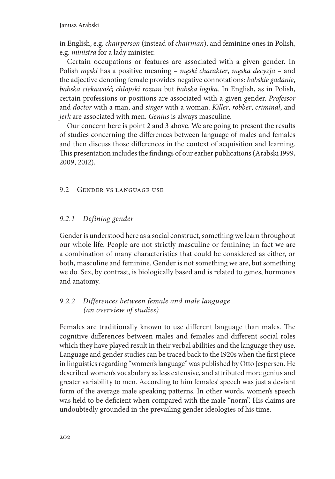in English, e.g. *chairperson* (instead of *chairman*), and feminine ones in Polish, e.g. *ministra* for a lady minister.

Certain occupations or features are associated with a given gender. In Polish *męski* has a positive meaning – *męski charakter*, *męska decyzja* – and the adjective denoting female provides negative connotations: *babskie gadanie*, *babska ciekawość; chłopski rozum* but *babska logika*. In English, as in Polish, certain professions or positions are associated with a given gender. *Professor* and *doctor* with a man, and *singer* with a woman. *Killer*, *robber*, *criminal*, and *jerk* are associated with men. *Genius* is always masculine.

Our concern here is point 2 and 3 above. We are going to present the results of studies concerning the differences between language of males and females and then discuss those differences in the context of acquisition and learning. This presentation includes the findings of our earlier publications (Arabski 1999, 2009, 2012).

# 9.2 Gender vs language use

# *9.2.1 Defining gender*

Gender is understood here as a social construct, something we learn throughout our whole life. People are not strictly masculine or feminine; in fact we are a combination of many characteristics that could be considered as either, or both, masculine and feminine. Gender is not something we are, but something we do. Sex, by contrast, is biologically based and is related to genes, hormones and anatomy.

# *9.2.2 Differences between female and male language (an overview of studies)*

Females are traditionally known to use different language than males. The cognitive differences between males and females and different social roles which they have played result in their verbal abilities and the language they use. Language and gender studies can be traced back to the 1920s when the first piece in linguistics regarding "women's language" was published by Otto Jespersen. He described women's vocabulary as less extensive, and attributed more genius and greater variability to men. According to him females' speech was just a deviant form of the average male speaking patterns. In other words, women's speech was held to be deficient when compared with the male "norm". His claims are undoubtedly grounded in the prevailing gender ideologies of his time.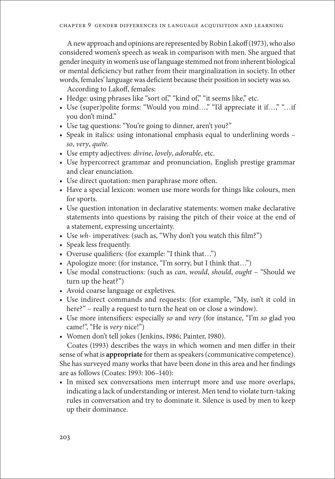A new approach and opinions are represented by Robin Lakoff (1973), who also considered women's speech as weak in comparison with men. She argued that gender inequity in women's use of language stemmed not from inherent biological or mental deficiency but rather from their marginalization in society. In other words, females' language was deficient because their position in society was so.

According to Lakoff, females:

- Hedge: using phrases like "sort of," "kind of," "it seems like," etc.
- Use (super)polite forms: "Would you mind...," "I'd appreciate it if...," "...if you don't mind."
- Use tag questions: "You're going to dinner, aren't you?"
- Speak in italics: using intonational emphasis equal to underlining words *so*, *very*, *quite*.
- Use empty adjectives: *divine*, *lovely*, *adorable*, etc.
- Use hypercorrect grammar and pronunciation, English prestige grammar and clear enunciation.
- Use direct quotation: men paraphrase more often.
- Have a special lexicon: women use more words for things like colours, men for sports.
- Use question intonation in declarative statements: women make declarative statements into questions by raising the pitch of their voice at the end of a statement, expressing uncertainty.
- Use *wh* imperatives: (such as, "Why don't you watch this film?")
- Speak less frequently.
- Overuse qualifiers: (for example: "I think that…")
- Apologize more: (for instance, "I'm sorry, but I think that…")
- Use modal constructions: (such as *can*, *would*, *should*, *ought* "Should we turn up the heat?")
- Avoid coarse language or expletives.
- Use indirect commands and requests: (for example, "My, isn't it cold in here?" – really a request to turn the heat on or close a window).
- Use more intensifiers: especially *so* and *very* (for instance, "I'm *so* glad you came!", "He is *very* nice!")
- Women don't tell jokes (Jenkins, 1986; Painter, 1980).

Coates (1993) describes the ways in which women and men differ in their sense of what is **appropriate** for them as speakers (communicative competence). She has surveyed many works that have been done in this area and her findings are as follows (Coates: 1993: 106–140):

• In mixed sex conversations men interrupt more and use more overlaps, indicating a lack of understanding or interest. Men tend to violate turn-taking rules in conversation and try to dominate it. Silence is used by men to keep up their dominance.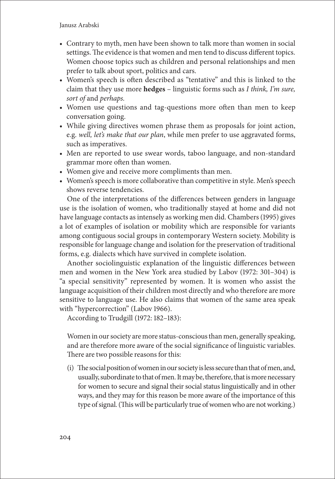- Contrary to myth, men have been shown to talk more than women in social settings. The evidence is that women and men tend to discuss different topics. Women choose topics such as children and personal relationships and men prefer to talk about sport, politics and cars.
- Women's speech is often described as "tentative" and this is linked to the claim that they use more **hedges** – linguistic forms such as *I think, I'm sure, sort of* and *perhaps.*
- Women use questions and tag-questions more often than men to keep conversation going.
- While giving directives women phrase them as proposals for joint action, e.g. *well, let's make that our plan*, while men prefer to use aggravated forms, such as imperatives.
- Men are reported to use swear words, taboo language, and non-standard grammar more often than women.
- Women give and receive more compliments than men.
- Women's speech is more collaborative than competitive in style. Men's speech shows reverse tendencies.

One of the interpretations of the differences between genders in language use is the isolation of women, who traditionally stayed at home and did not have language contacts as intensely as working men did. Chambers (1995) gives a lot of examples of isolation or mobility which are responsible for variants among contiguous social groups in contemporary Western society. Mobility is responsible for language change and isolation for the preservation of traditional forms, e.g. dialects which have survived in complete isolation.

Another sociolinguistic explanation of the linguistic differences between men and women in the New York area studied by Labov (1972: 301–304) is "a special sensitivity" represented by women. It is women who assist the language acquisition of their children most directly and who therefore are more sensitive to language use. He also claims that women of the same area speak with "hypercorrection" (Labov 1966).

According to Trudgill (1972: 182–183):

Women in our society are more status-conscious than men, generally speaking, and are therefore more aware of the social significance of linguistic variables. There are two possible reasons for this:

(i) The social position of women in our society is less secure than that of men, and, usually, subordinate to that of men. It may be, therefore, that is more necessary for women to secure and signal their social status linguistically and in other ways, and they may for this reason be more aware of the importance of this type of signal. (This will be particularly true of women who are not working.)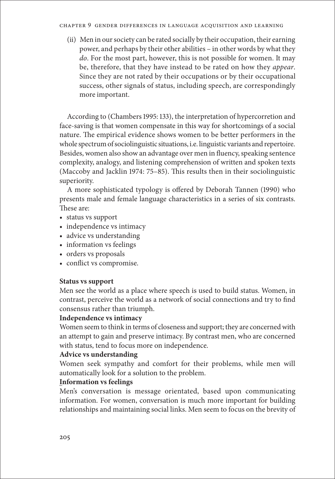#### CHAPTER 9 Gender differences in language acquisition and learning

(ii) Men in our society can be rated socially by their occupation, their earning power, and perhaps by their other abilities – in other words by what they *do*. For the most part, however, this is not possible for women. It may be, therefore, that they have instead to be rated on how they *appear*. Since they are not rated by their occupations or by their occupational success, other signals of status, including speech, are correspondingly more important.

According to (Chambers 1995: 133), the interpretation of hypercorretion and face-saving is that women compensate in this way for shortcomings of a social nature. The empirical evidence shows women to be better performers in the whole spectrum of sociolinguistic situations, i.e. linguistic variants and repertoire. Besides, women also show an advantage over men in fluency, speaking sentence complexity, analogy, and listening comprehension of written and spoken texts (Maccoby and Jacklin 1974: 75–85). This results then in their sociolinguistic superiority.

A more sophisticated typology is offered by Deborah Tannen (1990) who presents male and female language characteristics in a series of six contrasts. These are:

- status vs support
- independence vs intimacy
- advice vs understanding
- information vs feelings
- orders vs proposals
- conflict vs compromise.

## **Status vs support**

Men see the world as a place where speech is used to build status. Women, in contrast, perceive the world as a network of social connections and try to find consensus rather than triumph.

## **Independence vs intimacy**

Women seem to think in terms of closeness and support; they are concerned with an attempt to gain and preserve intimacy. By contrast men, who are concerned with status, tend to focus more on independence.

## **Advice vs understanding**

Women seek sympathy and comfort for their problems, while men will automatically look for a solution to the problem.

## **Information vs feelings**

Men's conversation is message orientated, based upon communicating information. For women, conversation is much more important for building relationships and maintaining social links. Men seem to focus on the brevity of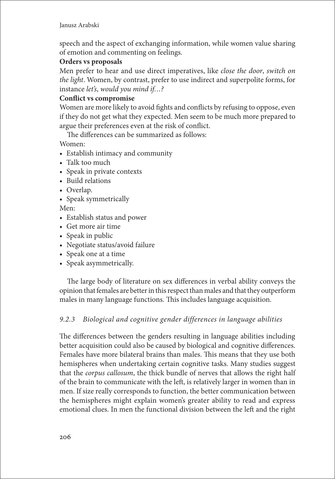speech and the aspect of exchanging information, while women value sharing of emotion and commenting on feelings.

# **Orders vs proposals**

Men prefer to hear and use direct imperatives, like *close the door*, *switch on the light*. Women, by contrast, prefer to use indirect and superpolite forms, for instance *let's*, *would you mind if…?*

# **Conflict vs compromise**

Women are more likely to avoid fights and conflicts by refusing to oppose, even if they do not get what they expected. Men seem to be much more prepared to argue their preferences even at the risk of conflict.

The differences can be summarized as follows:

Women:

- Establish intimacy and community
- Talk too much
- Speak in private contexts
- Build relations
- Overlap.
- Speak symmetrically

Men:

- Establish status and power
- Get more air time
- Speak in public
- Negotiate status/avoid failure
- Speak one at a time
- Speak asymmetrically.

The large body of literature on sex differences in verbal ability conveys the opinion that females are better in this respect than males and that they outperform males in many language functions. This includes language acquisition.

# *9.2.3 Biological and cognitive gender differences in language abilities*

The differences between the genders resulting in language abilities including better acquisition could also be caused by biological and cognitive differences. Females have more bilateral brains than males. This means that they use both hemispheres when undertaking certain cognitive tasks. Many studies suggest that the *corpus callosum*, the thick bundle of nerves that allows the right half of the brain to communicate with the left, is relatively larger in women than in men. If size really corresponds to function, the better communication between the hemispheres might explain women's greater ability to read and express emotional clues. In men the functional division between the left and the right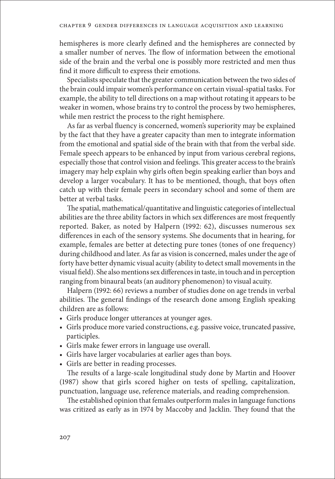hemispheres is more clearly defined and the hemispheres are connected by a smaller number of nerves. The flow of information between the emotional side of the brain and the verbal one is possibly more restricted and men thus find it more difficult to express their emotions.

Specialists speculate that the greater communication between the two sides of the brain could impair women's performance on certain visual-spatial tasks. For example, the ability to tell directions on a map without rotating it appears to be weaker in women, whose brains try to control the process by two hemispheres, while men restrict the process to the right hemisphere.

As far as verbal fluency is concerned, women's superiority may be explained by the fact that they have a greater capacity than men to integrate information from the emotional and spatial side of the brain with that from the verbal side. Female speech appears to be enhanced by input from various cerebral regions, especially those that control vision and feelings. This greater access to the brain's imagery may help explain why girls often begin speaking earlier than boys and develop a larger vocabulary. It has to be mentioned, though, that boys often catch up with their female peers in secondary school and some of them are better at verbal tasks.

The spatial, mathematical/quantitative and linguistic categories of intellectual abilities are the three ability factors in which sex differences are most frequently reported. Baker, as noted by Halpern (1992: 62), discusses numerous sex differences in each of the sensory systems. She documents that in hearing, for example, females are better at detecting pure tones (tones of one frequency) during childhood and later. As far as vision is concerned, males under the age of forty have better dynamic visual acuity (ability to detect small movements in the visual field). She also mentions sex differences in taste, in touch and in perception ranging from binaural beats (an auditory phenomenon) to visual acuity.

Halpern (1992: 66) reviews a number of studies done on age trends in verbal abilities. The general findings of the research done among English speaking children are as follows:

- Girls produce longer utterances at younger ages.
- Girls produce more varied constructions, e.g. passive voice, truncated passive, participles.
- Girls make fewer errors in language use overall.
- Girls have larger vocabularies at earlier ages than boys.
- Girls are better in reading processes.

The results of a large-scale longitudinal study done by Martin and Hoover (1987) show that girls scored higher on tests of spelling, capitalization, punctuation, language use, reference materials, and reading comprehension.

The established opinion that females outperform males in language functions was critized as early as in 1974 by Maccoby and Jacklin. They found that the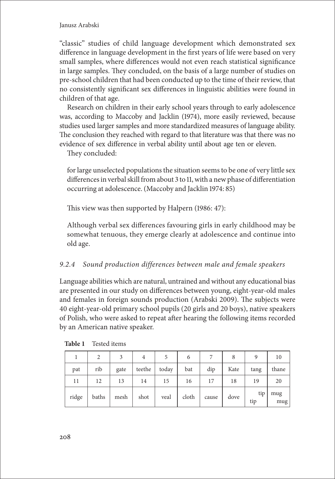"classic" studies of child language development which demonstrated sex difference in language development in the first years of life were based on very small samples, where differences would not even reach statistical significance in large samples. They concluded, on the basis of a large number of studies on pre-school children that had been conducted up to the time of their review, that no consistently significant sex differences in linguistic abilities were found in children of that age.

Research on children in their early school years through to early adolescence was, according to Maccoby and Jacklin (1974), more easily reviewed, because studies used larger samples and more standardized measures of language ability. The conclusion they reached with regard to that literature was that there was no evidence of sex difference in verbal ability until about age ten or eleven.

They concluded:

for large unselected populations the situation seems to be one of very little sex differences in verbal skill from about 3 to 11, with a new phase of differentiation occurring at adolescence. (Maccoby and Jacklin 1974: 85)

This view was then supported by Halpern (1986: 47):

Although verbal sex differences favouring girls in early childhood may be somewhat tenuous, they emerge clearly at adolescence and continue into old age.

# *9.2.4 Sound production differences between male and female speakers*

Language abilities which are natural, untrained and without any educational bias are presented in our study on differences between young, eight-year-old males and females in foreign sounds production (Arabski 2009). The subjects were 40 eight-year-old primary school pupils (20 girls and 20 boys), native speakers of Polish, who were asked to repeat after hearing the following items recorded by an American native speaker.

|       |       | 3    | 4      | 5     | 6     |       | 8    | 9          | 10         |
|-------|-------|------|--------|-------|-------|-------|------|------------|------------|
| pat   | rib   | gate | teethe | today | bat   | dip   | Kate | tang       | thane      |
| 11    | 12    | 13   | 14     | 15    | 16    | 17    | 18   | 19         | 20         |
| ridge | baths | mesh | shot   | veal  | cloth | cause | dove | tip<br>tip | mug<br>mug |

**Table 1** Tested items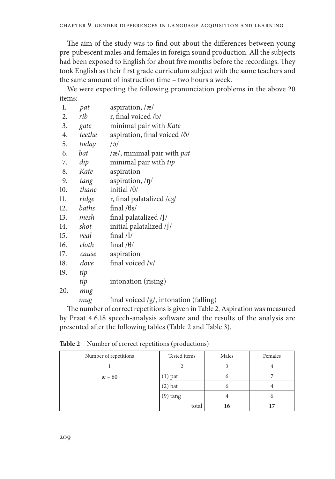The aim of the study was to find out about the differences between young pre-pubescent males and females in foreign sound production. All the subjects had been exposed to English for about five months before the recordings. They took English as their first grade curriculum subject with the same teachers and the same amount of instruction time – two hours a week.

We were expecting the following pronunciation problems in the above 20 items:

| 1.  | pat               | aspiration, /æ/                           |
|-----|-------------------|-------------------------------------------|
| 2.  | rib               | r, final voiced /b/                       |
|     | 3. gate           | minimal pair with Kate                    |
|     | 4. teethe         | aspiration, final voiced /ð/              |
|     | 5. today          | $\sqrt{e}$                                |
|     | $6.$ bat          | /æ/, minimal pair with <i>pat</i>         |
|     | 7. $dip$          | minimal pair with tip                     |
|     | 8. Kate           | aspiration                                |
|     | 9. tang           | aspiration, $/\eta/$                      |
|     | 10. thane         | initial $/\theta/$                        |
|     | 11. ridge         | r, final palatalized $\frac{d}{dx}$       |
|     | 12. baths         | final $/\theta s/$                        |
|     | 13. mesh          | final palatalized $/\int$                 |
|     | 14. shot          | initial palatalized / f/                  |
|     | $15.$ <i>veal</i> | final $/1/$                               |
|     | 16. cloth         | final $/\theta/$                          |
|     | 17. cause         | aspiration                                |
|     | $18.$ dove        | final voiced /v/                          |
| 19. | tip               |                                           |
|     | tip               | intonation (rising)                       |
| 20. | mug               |                                           |
|     | mug               | final voiced $/g/$ , intonation (falling) |
|     |                   |                                           |

The number of correct repetitions is given in Table 2. Aspiration was measured by Praat 4.6.18 speech-analysis software and the results of the analysis are presented after the following tables (Table 2 and Table 3).

| Table 2 Number of correct repetitions (productions) |  |  |
|-----------------------------------------------------|--|--|
|-----------------------------------------------------|--|--|

| Number of repetitions | Tested items | Males | Females |
|-----------------------|--------------|-------|---------|
|                       |              |       |         |
| $x - 60$              | $(1)$ pat    |       |         |
|                       | $(2)$ bat    |       |         |
|                       | $(9)$ tang   |       |         |
|                       | total        | 16    | ר ו     |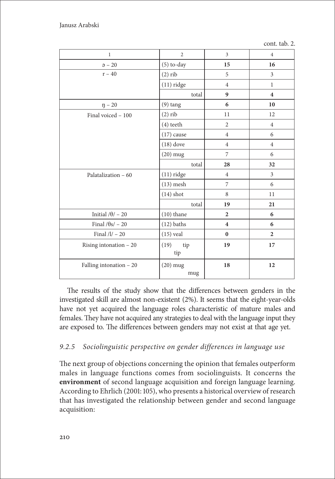cont. tab. 2.

| $\mathbf{1}$             | $\overline{2}$     | $\overline{3}$          | $\overline{4}$          |
|--------------------------|--------------------|-------------------------|-------------------------|
| $\mathfrak{g}$ – 20      | $(5)$ to-day       | 15                      | 16                      |
| $r - 40$                 | $(2)$ rib          | 5                       | $\overline{3}$          |
|                          | $(11)$ ridge       | $\overline{4}$          | $\mathbf{1}$            |
|                          | total              | 9                       | $\overline{\mathbf{4}}$ |
| $\eta - 20$              | $(9)$ tang         | 6                       | 10                      |
| Final voiced - 100       | $(2)$ rib          | 11                      | 12                      |
|                          | $(4)$ teeth        | $\overline{2}$          | $\overline{4}$          |
|                          | $(17)$ cause       | $\overline{4}$          | 6                       |
|                          | $(18)$ dove        | $\overline{4}$          | $\overline{4}$          |
|                          | $(20)$ mug         | $\overline{7}$          | 6                       |
|                          | total              | 28                      | 32                      |
| Palatalization - 60      | $(11)$ ridge       | $\overline{4}$          | $\overline{3}$          |
|                          | $(13)$ mesh        | $\overline{7}$          | 6                       |
|                          | $(14)$ shot        | 8                       | 11                      |
|                          | total              | 19                      | 21                      |
| Initial $/\theta$ / - 20 | $(10)$ thane       | $\overline{2}$          | 6                       |
| Final $/\theta s/- 20$   | $(12)$ baths       | $\overline{\mathbf{4}}$ | 6                       |
| Final $/l/ - 20$         | $(15)$ veal        | $\bf{0}$                | $\overline{2}$          |
| Rising intonation $-20$  | (19)<br>tip<br>tip | 19                      | 17                      |
| Falling intonation $-20$ | $(20)$ mug<br>mug  | 18                      | 12                      |

The results of the study show that the differences between genders in the investigated skill are almost non-existent (2%). It seems that the eight-year-olds have not yet acquired the language roles characteristic of mature males and females. They have not acquired any strategies to deal with the language input they are exposed to. The differences between genders may not exist at that age yet.

# *9.2.5 Sociolinguistic perspective on gender differences in language use*

The next group of objections concerning the opinion that females outperform males in language functions comes from sociolinguists. It concerns the **environment** of second language acquisition and foreign language learning. According to Ehrlich (2001: 105), who presents a historical overview of research that has investigated the relationship between gender and second language acquisition: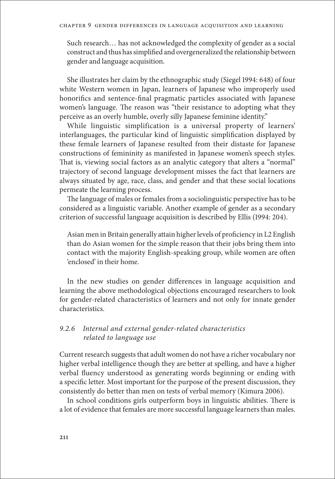Such research… has not acknowledged the complexity of gender as a social construct and thus has simplified and overgeneralized the relationship between gender and language acquisition.

She illustrates her claim by the ethnographic study (Siegel 1994: 648) of four white Western women in Japan, learners of Japanese who improperly used honorifics and sentence-final pragmatic particles associated with Japanese women's language. The reason was "their resistance to adopting what they perceive as an overly humble, overly silly Japanese feminine identity."

While linguistic simplification is a universal property of learners' interlanguages, the particular kind of linguistic simplification displayed by these female learners of Japanese resulted from their distaste for Japanese constructions of femininity as manifested in Japanese women's speech styles. That is, viewing social factors as an analytic category that alters a "normal" trajectory of second language development misses the fact that learners are always situated by age, race, class, and gender and that these social locations permeate the learning process.

The language of males or females from a sociolinguistic perspective has to be considered as a linguistic variable. Another example of gender as a secondary criterion of successful language acquisition is described by Ellis (1994: 204).

Asian men in Britain generally attain higher levels of proficiency in L2 English than do Asian women for the simple reason that their jobs bring them into contact with the majority English-speaking group, while women are often 'enclosed' in their home.

In the new studies on gender differences in language acquisition and learning the above methodological objections encouraged researchers to look for gender-related characteristics of learners and not only for innate gender characteristics.

# *9.2.6 Internal and external gender-related characteristics related to language use*

Current research suggests that adult women do not have a richer vocabulary nor higher verbal intelligence though they are better at spelling, and have a higher verbal fluency understood as generating words beginning or ending with a specific letter. Most important for the purpose of the present discussion, they consistently do better than men on tests of verbal memory (Kimura 2006).

In school conditions girls outperform boys in linguistic abilities. There is a lot of evidence that females are more successful language learners than males.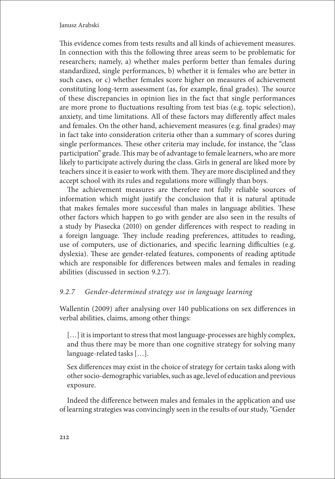This evidence comes from tests results and all kinds of achievement measures. In connection with this the following three areas seem to be problematic for researchers; namely, a) whether males perform better than females during standardized, single performances, b) whether it is females who are better in such cases, or c) whether females score higher on measures of achievement constituting long-term assessment (as, for example, final grades). The source of these discrepancies in opinion lies in the fact that single performances are more prone to fluctuations resulting from test bias (e.g. topic selection), anxiety, and time limitations. All of these factors may differently affect males and females. On the other hand, achievement measures (e.g. final grades) may in fact take into consideration criteria other than a summary of scores during single performances. These other criteria may include, for instance, the "class participation" grade. This may be of advantage to female learners, who are more likely to participate actively during the class. Girls in general are liked more by teachers since it is easier to work with them. They are more disciplined and they accept school with its rules and regulations more willingly than boys.

The achievement measures are therefore not fully reliable sources of information which might justify the conclusion that it is natural aptitude that makes females more successful than males in language abilities. These other factors which happen to go with gender are also seen in the results of a study by Piasecka (2010) on gender differences with respect to reading in a foreign language. They include reading preferences, attitudes to reading, use of computers, use of dictionaries, and specific learning difficulties (e.g. dyslexia). These are gender-related features, components of reading aptitude which are responsible for differences between males and females in reading abilities (discussed in section 9.2.7).

# *9.2.7 Gender-determined strategy use in language learning*

Wallentin (2009) after analysing over 140 publications on sex differences in verbal abilities, claims, among other things:

[...] it is important to stress that most language-processes are highly complex, and thus there may be more than one cognitive strategy for solving many language-related tasks […].

Sex differences may exist in the choice of strategy for certain tasks along with other socio-demographic variables, such as age, level of education and previous exposure.

Indeed the difference between males and females in the application and use of learning strategies was convincingly seen in the results of our study, "Gender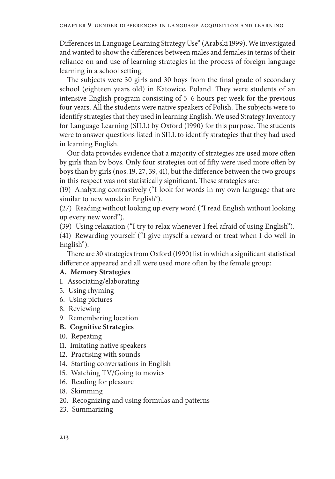Differences in Language Learning Strategy Use" (Arabski 1999). We investigated and wanted to show the differences between males and females in terms of their reliance on and use of learning strategies in the process of foreign language learning in a school setting.

The subjects were 30 girls and 30 boys from the final grade of secondary school (eighteen years old) in Katowice, Poland. They were students of an intensive English program consisting of 5–6 hours per week for the previous four years. All the students were native speakers of Polish. The subjects were to identify strategies that they used in learning English. We used Strategy Inventory for Language Learning (SILL) by Oxford (1990) for this purpose. The students were to answer questions listed in SILL to identify strategies that they had used in learning English.

Our data provides evidence that a majority of strategies are used more often by girls than by boys. Only four strategies out of fifty were used more often by boys than by girls (nos. 19, 27, 39, 41), but the difference between the two groups in this respect was not statistically significant. These strategies are:

(19) Analyzing contrastively ("I look for words in my own language that are similar to new words in English").

(27) Reading without looking up every word ("I read English without looking up every new word").

(39) Using relaxation ("I try to relax whenever I feel afraid of using English"). (41) Rewarding yourself ("I give myself a reward or treat when I do well in

English"). There are 30 strategies from Oxford (1990) list in which a significant statistical difference appeared and all were used more often by the female group:

## **A. Memory Strategies**

- 1. Associating/elaborating
- 5. Using rhyming
- 6. Using pictures
- 8. Reviewing
- 9. Remembering location

# **B. Cognitive Strategies**

- 10. Repeating
- 11. Imitating native speakers
- 12. Practising with sounds
- 14. Starting conversations in English
- 15. Watching TV/Going to movies
- 16. Reading for pleasure
- 18. Skimming
- 20. Recognizing and using formulas and patterns
- 23. Summarizing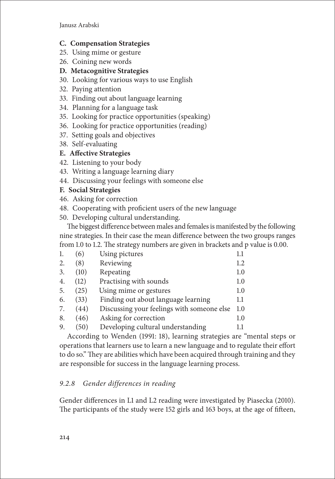# **C. Compensation Strategies**

- 25. Using mime or gesture
- 26. Coining new words

# **D. Metacognitive Strategies**

- 30. Looking for various ways to use English
- 32. Paying attention
- 33. Finding out about language learning
- 34. Planning for a language task
- 35. Looking for practice opportunities (speaking)
- 36. Looking for practice opportunities (reading)
- 37. Setting goals and objectives
- 38. Self-evaluating

# **E. Affective Strategies**

- 42. Listening to your body
- 43. Writing a language learning diary
- 44. Discussing your feelings with someone else

# **F. Social Strategies**

- 46. Asking for correction
- 48. Cooperating with proficient users of the new language
- 50. Developing cultural understanding.

The biggest difference between males and females is manifested by the following nine strategies. In their case the mean difference between the two groups ranges from 1.0 to 1.2. The strategy numbers are given in brackets and p value is 0.00.

| 1. | (6)  | Using pictures                             | 1.1     |
|----|------|--------------------------------------------|---------|
| 2. | (8)  | Reviewing                                  | 1.2     |
| 3. | (10) | Repeating                                  | 1.0     |
| 4. | (12) | Practising with sounds                     | 1.0     |
| 5. | (25) | Using mime or gestures                     | 1.0     |
| 6. | (33) | Finding out about language learning        | 1.1     |
| 7. | (44) | Discussing your feelings with someone else | 1.0     |
| 8. | (46) | Asking for correction                      | $1.0\,$ |
| 9. | (50) | Developing cultural understanding          | 1.1     |
|    |      |                                            |         |

According to Wenden (1991: 18), learning strategies are "mental steps or operations that learners use to learn a new language and to regulate their effort to do so." They are abilities which have been acquired through training and they are responsible for success in the language learning process.

# *9.2.8 Gender differences in reading*

Gender differences in L1 and L2 reading were investigated by Piasecka (2010). The participants of the study were 152 girls and 163 boys, at the age of fifteen,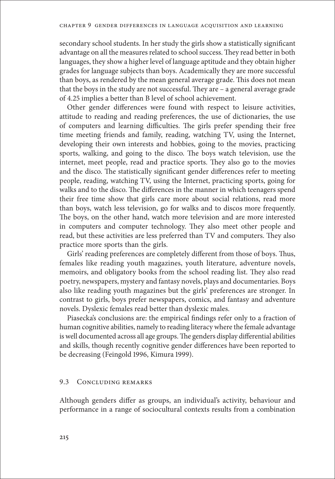secondary school students. In her study the girls show a statistically significant advantage on all the measures related to school success. They read better in both languages, they show a higher level of language aptitude and they obtain higher grades for language subjects than boys. Academically they are more successful than boys, as rendered by the mean general average grade. This does not mean that the boys in the study are not successful. They are – a general average grade of 4.25 implies a better than B level of school achievement.

Other gender differences were found with respect to leisure activities, attitude to reading and reading preferences, the use of dictionaries, the use of computers and learning difficulties. The girls prefer spending their free time meeting friends and family, reading, watching TV, using the Internet, developing their own interests and hobbies, going to the movies, practicing sports, walking, and going to the disco. The boys watch television, use the internet, meet people, read and practice sports. They also go to the movies and the disco. The statistically significant gender differences refer to meeting people, reading, watching TV, using the Internet, practicing sports, going for walks and to the disco. The differences in the manner in which teenagers spend their free time show that girls care more about social relations, read more than boys, watch less television, go for walks and to discos more frequently. The boys, on the other hand, watch more television and are more interested in computers and computer technology. They also meet other people and read, but these activities are less preferred than TV and computers. They also practice more sports than the girls.

Girls' reading preferences are completely different from those of boys. Thus, females like reading youth magazines, youth literature, adventure novels, memoirs, and obligatory books from the school reading list. They also read poetry, newspapers, mystery and fantasy novels, plays and documentaries. Boys also like reading youth magazines but the girls' preferences are stronger. In contrast to girls, boys prefer newspapers, comics, and fantasy and adventure novels. Dyslexic females read better than dyslexic males.

Piasecka's conclusions are: the empirical findings refer only to a fraction of human cognitive abilities, namely to reading literacy where the female advantage is well documented across all age groups. The genders display differential abilities and skills, though recently cognitive gender differences have been reported to be decreasing (Feingold 1996, Kimura 1999).

## 9.3 Concluding remarks

Although genders differ as groups, an individual's activity, behaviour and performance in a range of sociocultural contexts results from a combination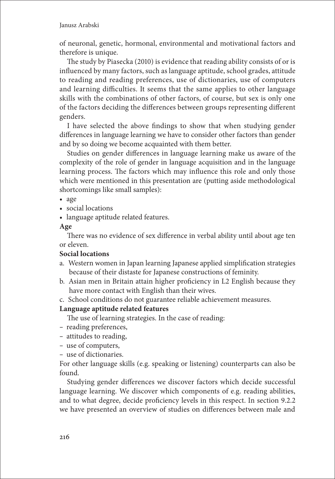of neuronal, genetic, hormonal, environmental and motivational factors and therefore is unique.

The study by Piasecka (2010) is evidence that reading ability consists of or is influenced by many factors, such as language aptitude, school grades, attitude to reading and reading preferences, use of dictionaries, use of computers and learning difficulties. It seems that the same applies to other language skills with the combinations of other factors, of course, but sex is only one of the factors deciding the differences between groups representing different genders.

I have selected the above findings to show that when studying gender differences in language learning we have to consider other factors than gender and by so doing we become acquainted with them better.

Studies on gender differences in language learning make us aware of the complexity of the role of gender in language acquisition and in the language learning process. The factors which may influence this role and only those which were mentioned in this presentation are (putting aside methodological shortcomings like small samples):

- age
- social locations
- language aptitude related features.

#### **Age**

There was no evidence of sex difference in verbal ability until about age ten or eleven.

## **Social locations**

- a. Western women in Japan learning Japanese applied simplification strategies because of their distaste for Japanese constructions of feminity.
- b. Asian men in Britain attain higher proficiency in L2 English because they have more contact with English than their wives.
- c. School conditions do not guarantee reliable achievement measures.

# **Language aptitude related features**

The use of learning strategies. In the case of reading:

- reading preferences,
- attitudes to reading,
- use of computers,
- use of dictionaries.

For other language skills (e.g. speaking or listening) counterparts can also be found.

Studying gender differences we discover factors which decide successful language learning. We discover which components of e.g. reading abilities, and to what degree, decide proficiency levels in this respect. In section 9.2.2 we have presented an overview of studies on differences between male and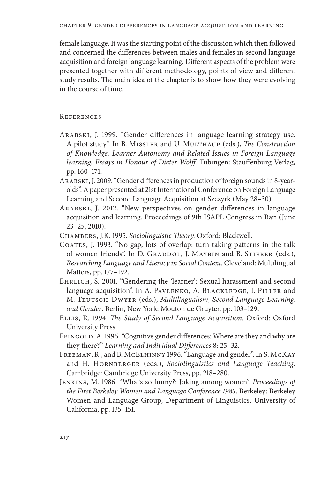female language. It was the starting point of the discussion which then followed and concerned the differences between males and females in second language acquisition and foreign language learning. Different aspects of the problem were presented together with different methodology, points of view and different study results. The main idea of the chapter is to show how they were evolving in the course of time.

#### **REFERENCES**

- Arabski, J. 1999. "Gender differences in language learning strategy use. A pilot study". In B. Missler and U. Multhaup (eds.), *The Construction of Knowledge, Learner Autonomy and Related Issues in Foreign Language learning. Essays in Honour of Dieter Wolff.* Tübingen: Stauffenburg Verlag, pp. 160–171.
- Arabski, J. 2009. "Gender differences in production of foreign sounds in 8-yearolds". A paper presented at 21st International Conference on Foreign Language Learning and Second Language Acquisition at Szczyrk (May 28–30).
- Arabski, J. 2012. "New perspectives on gender differences in language acquisition and learning*.* Proceedings of 9th ISAPL Congress in Bari (June 23–25, 2010).
- Chambers, J.K. 1995. *Sociolinguistic Theory.* Oxford: Blackwell.
- COATES, J. 1993. "No gap, lots of overlap: turn taking patterns in the talk of women friends". In D. GRADDOL, J. MAYBIN and B. STIERER (eds.), *Researching Language and Literacy in Social Context.* Cleveland: Multilingual Matters, pp. 177–192.
- EHRLICH, S. 2001. "Gendering the 'learner': Sexual harassment and second language acquisition". In A. PAVLENKO, A. BLACKLEDGE, I. PILLER and M. TEUTSCH-DWYER (eds.), *Multilingualism, Second Language Learning, and Gender*. Berlin, New York: Mouton de Gruyter, pp. 103–129.
- Ellis, R. 1994. *The Study of Second Language Acquisition.* Oxford: Oxford University Press.
- FEINGOLD, A. 1996. "Cognitive gender differences: Where are they and why are they there?" *Learning and Individual Differences* 8: 25–32.
- Freeman, R., and B. McElhinny 1996. "Language and gender". In S. McKay and H. Hornberger (eds.), *Sociolinguistics and Language Teaching*. Cambridge: Cambridge University Press, pp. 218–280.
- Jenkins, M. 1986. "What's so funny?: Joking among women". *Proceedings of the First Berkeley Women and Language Conference 1985*. Berkeley: Berkeley Women and Language Group, Department of Linguistics, University of California, pp. 135–151.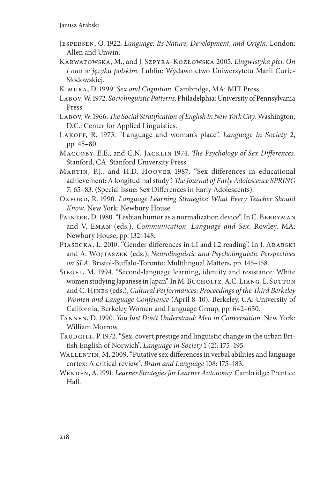- Jespersen, O. 1922. *Language: Its Nature, Development, and Origin*. London: Allen and Unwin.
- Karwatowska, M., and J. Szpyra-Kozłowska 2005. *Lingwistyka płci. On i ona w języku polskim.* Lublin: Wydawnictwo Uniwersytetu Marii Curie-Słodowskiej.
- Kimura, D. 1999. *Sex and Cognition.* Cambridge, MA: MIT Press.
- Labov, W. 1972. *Sociolinguistic Patterns*. Philadelphia: University of Pennsylvania Press.
- Labov, W. 1966. *The Social Stratification of English in New York City*. Washington, D.C.: Center for Applied Linguistics.
- Lakoff, R. 1973. "Language and woman's place". *Language in Society* 2, pp. 45–80.
- Maccoby, E.E., and C.N. Jacklin 1974. *The Psychology of Sex Differences.* Stanford, CA: Stanford University Press.
- Martin, P.J., and H.D. Hoover 1987. "Sex differences in educational achievement: A longitudinal study". *The Journal of Early Adolescence SPRING*  7: 65–83. (Special Issue: Sex Differences in Early Adolescents).
- OXFORD, R. 1990. *Language Learning Strategies: What Every Teacher Should Know*. New York: Newbury House.
- PAINTER, D. 1980. "Lesbian humor as a normalization device". In C. BERRYMAN and V. Eman (eds.), *Communication, Language and Sex*. Rowley, MA: Newbury House, pp. 132–148.
- Piasecka, L. 2010. "Gender differences in L1 and L2 reading". In J. Arabski and A. WOJTASZEK (eds.), *Neurolinguistic and Psycholinguistic Perspectives on SLA*. Bristol-Buffalo-Toronto: Multilingual Matters, pp. 145–158.
- Siegel, M. 1994. "Second-language learning, identity and resistance: White women studying Japanese in Japan". In M. BUCHOLTZ, A.C. LIANG, L. SUTTON and C. Hines (eds.), *Cultural Performances: Proceedings of the Third Berkeley Women and Language Conference* (April 8–10)*.* Berkeley, CA: University of California, Berkeley Women and Language Group, pp. 642–650.
- Tannen, D. 1990. *You Just Don't Understand: Men in Conversation.* New York: William Morrow.
- TRUDGILL, P. 1972. "Sex, covert prestige and linguistic change in the urban British English of Norwich". *Language in Society* 1 (2): 175–195.
- WALLENTIN, M. 2009. "Putative sex differences in verbal abilities and language cortex: A critical review". *Brain and Language* 108: 175–183.
- Wenden, A. 1991. *Learner Strategies for Learner Autonomy.* Cambridge: Prentice Hall.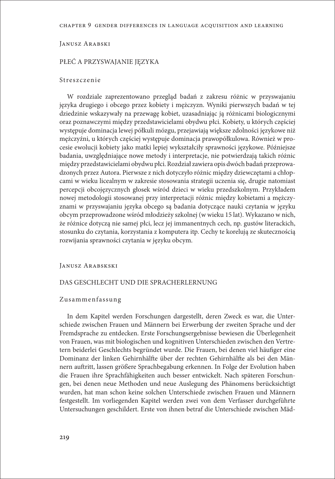#### Płeć a przyswajanie języka

#### Streszczenie

W rozdziale zaprezentowano przegląd badań z zakresu różnic w przyswajaniu języka drugiego i obcego przez kobiety i mężczyzn. Wyniki pierwszych badań w tej dziedzinie wskazywały na przewagę kobiet, uzasadniając ją różnicami biologicznymi oraz poznawczymi między przedstawicielami obydwu płci. Kobiety, u których częściej występuje dominacja lewej półkuli mózgu, przejawiają większe zdolności językowe niż mężczyźni, u których częściej występuje dominacja prawopółkulowa. Również w procesie ewolucji kobiety jako matki lepiej wykształciły sprawności językowe. Późniejsze badania, uwzględniające nowe metody i interpretacje, nie potwierdzają takich różnic między przedstawicielami obydwu płci. Rozdział zawiera opis dwóch badań przeprowadzonych przez Autora. Pierwsze z nich dotyczyło różnic między dziewczętami a chłopcami w wieku licealnym w zakresie stosowania strategii uczenia się, drugie natomiast percepcji obcojęzycznych głosek wśród dzieci w wieku przedszkolnym. Przykładem nowej metodologii stosowanej przy interpretacji różnic między kobietami a mężczyznami w przyswajaniu języka obcego są badania dotyczące nauki czytania w języku obcym przeprowadzone wśród młodzieży szkolnej (w wieku 15 lat). Wykazano w nich, że różnice dotyczą nie samej płci, lecz jej immanentnych cech, np. gustów literackich, stosunku do czytania, korzystania z komputera itp. Cechy te korelują ze skutecznością rozwijania sprawności czytania w języku obcym.

#### Janusz Arabskski

#### Das Geschlecht und die Spracherlernung

#### Zusammenfassung

In dem Kapitel werden Forschungen dargestellt, deren Zweck es war, die Unterschiede zwischen Frauen und Männern bei Erwerbung der zweiten Sprache und der Fremdsprache zu entdecken. Erste Forschungsergebnisse bewiesen die Überlegenheit von Frauen, was mit biologischen und kognitiven Unterschieden zwischen den Vertretern beiderlei Geschlechts begründet wurde. Die Frauen, bei denen viel häufiger eine Dominanz der linken Gehirnhälfte über der rechten Gehirnhälfte als bei den Männern auftritt, lassen größere Sprachbegabung erkennen. In Folge der Evolution haben die Frauen ihre Sprachfähigkeiten auch besser entwickelt. Nach späteren Forschungen, bei denen neue Methoden und neue Auslegung des Phänomens berücksichtigt wurden, hat man schon keine solchen Unterschiede zwischen Frauen und Männern festgestellt. Im vorliegenden Kapitel werden zwei von dem Verfasser durchgeführte Untersuchungen geschildert. Erste von ihnen betraf die Unterschiede zwischen Mäd-